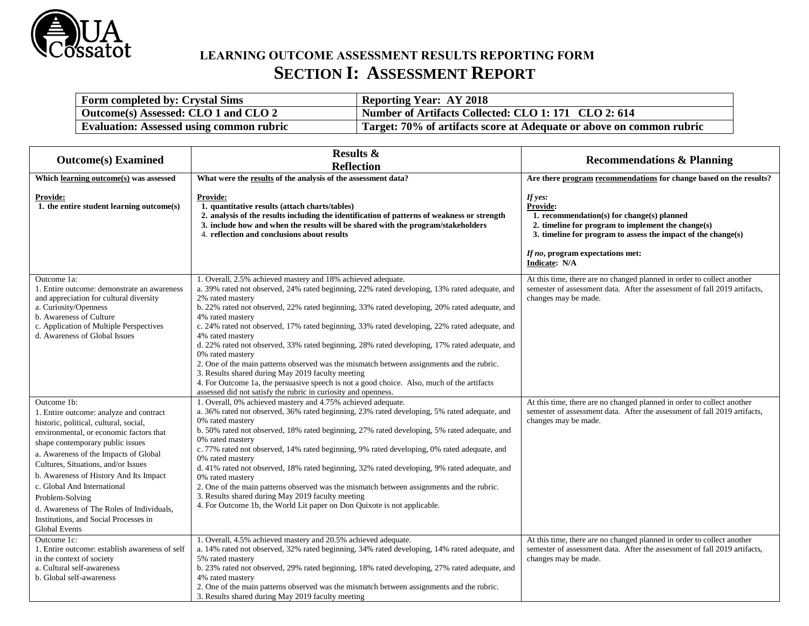

# **LEARNING OUTCOME ASSESSMENT RESULTS REPORTING FORM SECTION I: ASSESSMENT REPORT**

| <b>Form completed by: Crystal Sims</b>          | <b>Reporting Year: AY 2018</b>                                       |
|-------------------------------------------------|----------------------------------------------------------------------|
| Outcome(s) Assessed: CLO 1 and CLO 2            | Number of Artifacts Collected: CLO 1: 171 CLO 2: 614                 |
| <b>Evaluation: Assessed using common rubric</b> | Target: 70% of artifacts score at Adequate or above on common rubric |

| <b>Outcome(s)</b> Examined                                                                                                                                                                                                                                                                                                                                                                                                                                                | <b>Results &amp;</b><br><b>Reflection</b>                                                                                                                                                                                                                                                                                                                                                                                                                                                                                                                                                                                                                                                                                                                                                                                                                          | <b>Recommendations &amp; Planning</b>                                                                                                                                                                                                         |
|---------------------------------------------------------------------------------------------------------------------------------------------------------------------------------------------------------------------------------------------------------------------------------------------------------------------------------------------------------------------------------------------------------------------------------------------------------------------------|--------------------------------------------------------------------------------------------------------------------------------------------------------------------------------------------------------------------------------------------------------------------------------------------------------------------------------------------------------------------------------------------------------------------------------------------------------------------------------------------------------------------------------------------------------------------------------------------------------------------------------------------------------------------------------------------------------------------------------------------------------------------------------------------------------------------------------------------------------------------|-----------------------------------------------------------------------------------------------------------------------------------------------------------------------------------------------------------------------------------------------|
| Which learning outcome(s) was assessed                                                                                                                                                                                                                                                                                                                                                                                                                                    | What were the results of the analysis of the assessment data?                                                                                                                                                                                                                                                                                                                                                                                                                                                                                                                                                                                                                                                                                                                                                                                                      | Are there program recommendations for change based on the results?                                                                                                                                                                            |
| <b>Provide:</b><br>1. the entire student learning outcome(s)                                                                                                                                                                                                                                                                                                                                                                                                              | <b>Provide:</b><br>1. quantitative results (attach charts/tables)<br>2. analysis of the results including the identification of patterns of weakness or strength<br>3. include how and when the results will be shared with the program/stakeholders<br>4. reflection and conclusions about results                                                                                                                                                                                                                                                                                                                                                                                                                                                                                                                                                                | If yes:<br>Provide:<br>1. recommendation(s) for change(s) planned<br>2. timeline for program to implement the change(s)<br>3. timeline for program to assess the impact of the change(s)<br>If no, program expectations met:<br>Indicate: N/A |
| Outcome 1a:<br>1. Entire outcome: demonstrate an awareness<br>and appreciation for cultural diversity<br>a. Curiosity/Openness<br>b. Awareness of Culture<br>c. Application of Multiple Perspectives<br>d. Awareness of Global Issues                                                                                                                                                                                                                                     | 1. Overall, 2.5% achieved mastery and 18% achieved adequate.<br>a. 39% rated not observed, 24% rated beginning, 22% rated developing, 13% rated adequate, and<br>2% rated mastery<br>b. 22% rated not observed, 22% rated beginning, 33% rated developing, 20% rated adequate, and<br>4% rated mastery<br>c. 24% rated not observed, 17% rated beginning, 33% rated developing, 22% rated adequate, and<br>4% rated mastery<br>d. 22% rated not observed, 33% rated beginning, 28% rated developing, 17% rated adequate, and<br>0% rated mastery<br>2. One of the main patterns observed was the mismatch between assignments and the rubric.<br>3. Results shared during May 2019 faculty meeting<br>4. For Outcome 1a, the persuasive speech is not a good choice. Also, much of the artifacts<br>assessed did not satisfy the rubric in curiosity and openness. | At this time, there are no changed planned in order to collect another<br>semester of assessment data. After the assessment of fall 2019 artifacts,<br>changes may be made.                                                                   |
| Outcome 1b:<br>1. Entire outcome: analyze and contract<br>historic, political, cultural, social,<br>environmental, or economic factors that<br>shape contemporary public issues<br>a. Awareness of the Impacts of Global<br>Cultures, Situations, and/or Issues<br>b. Awareness of History And Its Impact<br>c. Global And International<br>Problem-Solving<br>d. Awareness of The Roles of Individuals,<br>Institutions, and Social Processes in<br><b>Global Events</b> | 1. Overall, 0% achieved mastery and 4.75% achieved adequate.<br>a. 36% rated not observed, 36% rated beginning, 23% rated developing, 5% rated adequate, and<br>0% rated mastery<br>b. 50% rated not observed, 18% rated beginning, 27% rated developing, 5% rated adequate, and<br>0% rated mastery<br>c. 77% rated not observed, 14% rated beginning, 9% rated developing, 0% rated adequate, and<br>0% rated mastery<br>d. 41% rated not observed, 18% rated beginning, 32% rated developing, 9% rated adequate, and<br>0% rated mastery<br>2. One of the main patterns observed was the mismatch between assignments and the rubric.<br>3. Results shared during May 2019 faculty meeting<br>4. For Outcome 1b, the World Lit paper on Don Quixote is not applicable.                                                                                          | At this time, there are no changed planned in order to collect another<br>semester of assessment data. After the assessment of fall 2019 artifacts,<br>changes may be made.                                                                   |
| Outcome 1c:<br>1. Entire outcome: establish awareness of self<br>in the context of society<br>a. Cultural self-awareness<br>b. Global self-awareness                                                                                                                                                                                                                                                                                                                      | 1. Overall, 4.5% achieved mastery and 20.5% achieved adequate.<br>a. 14% rated not observed, 32% rated beginning, 34% rated developing, 14% rated adequate, and<br>5% rated mastery<br>b. 23% rated not observed, 29% rated beginning, 18% rated developing, 27% rated adequate, and<br>4% rated mastery<br>2. One of the main patterns observed was the mismatch between assignments and the rubric.<br>3. Results shared during May 2019 faculty meeting                                                                                                                                                                                                                                                                                                                                                                                                         | At this time, there are no changed planned in order to collect another<br>semester of assessment data. After the assessment of fall 2019 artifacts,<br>changes may be made.                                                                   |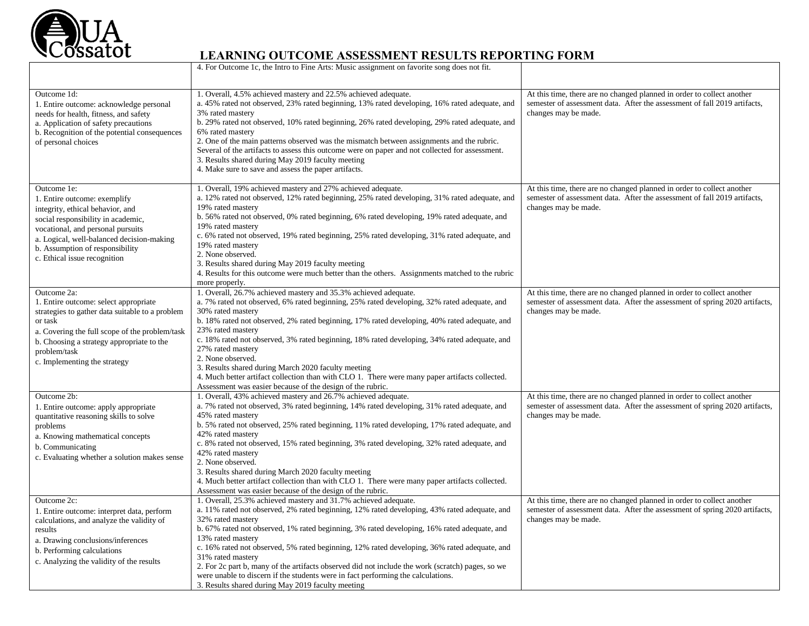

|                                                                                                                                                                                                                                                                            | 4. For Outcome 1c, the Intro to Fine Arts: Music assignment on favorite song does not fit.                                                                                                                                                                                                                                                                                                                                                                                                                                                                                                                                                                                 |                                                                                                                                                                               |
|----------------------------------------------------------------------------------------------------------------------------------------------------------------------------------------------------------------------------------------------------------------------------|----------------------------------------------------------------------------------------------------------------------------------------------------------------------------------------------------------------------------------------------------------------------------------------------------------------------------------------------------------------------------------------------------------------------------------------------------------------------------------------------------------------------------------------------------------------------------------------------------------------------------------------------------------------------------|-------------------------------------------------------------------------------------------------------------------------------------------------------------------------------|
| Outcome 1d:<br>1. Entire outcome: acknowledge personal<br>needs for health, fitness, and safety<br>a. Application of safety precautions<br>b. Recognition of the potential consequences<br>of personal choices                                                             | 1. Overall, 4.5% achieved mastery and 22.5% achieved adequate.<br>a. 45% rated not observed, 23% rated beginning, 13% rated developing, 16% rated adequate, and<br>3% rated mastery<br>b. 29% rated not observed, 10% rated beginning, 26% rated developing, 29% rated adequate, and<br>6% rated mastery<br>2. One of the main patterns observed was the mismatch between assignments and the rubric.<br>Several of the artifacts to assess this outcome were on paper and not collected for assessment.<br>3. Results shared during May 2019 faculty meeting<br>4. Make sure to save and assess the paper artifacts.                                                      | At this time, there are no changed planned in order to collect another<br>semester of assessment data. After the assessment of fall 2019 artifacts,<br>changes may be made.   |
| Outcome 1e:<br>1. Entire outcome: exemplify<br>integrity, ethical behavior, and<br>social responsibility in academic,<br>vocational, and personal pursuits<br>a. Logical, well-balanced decision-making<br>b. Assumption of responsibility<br>c. Ethical issue recognition | 1. Overall, 19% achieved mastery and 27% achieved adequate.<br>a. 12% rated not observed, 12% rated beginning, 25% rated developing, 31% rated adequate, and<br>19% rated mastery<br>b. 56% rated not observed, 0% rated beginning, 6% rated developing, 19% rated adequate, and<br>19% rated mastery<br>c. 6% rated not observed, 19% rated beginning, 25% rated developing, 31% rated adequate, and<br>19% rated mastery<br>2. None observed.<br>3. Results shared during May 2019 faculty meeting<br>4. Results for this outcome were much better than the others. Assignments matched to the rubric<br>more properly.                                                  | At this time, there are no changed planned in order to collect another<br>semester of assessment data. After the assessment of fall 2019 artifacts,<br>changes may be made.   |
| Outcome 2a:<br>1. Entire outcome: select appropriate<br>strategies to gather data suitable to a problem<br>or task<br>a. Covering the full scope of the problem/task<br>b. Choosing a strategy appropriate to the<br>problem/task<br>c. Implementing the strategy          | 1. Overall, 26.7% achieved mastery and 35.3% achieved adequate.<br>a. 7% rated not observed, 6% rated beginning, 25% rated developing, 32% rated adequate, and<br>30% rated mastery<br>b. 18% rated not observed, 2% rated beginning, 17% rated developing, 40% rated adequate, and<br>23% rated mastery<br>c. 18% rated not observed, 3% rated beginning, 18% rated developing, 34% rated adequate, and<br>27% rated mastery<br>2. None observed.<br>3. Results shared during March 2020 faculty meeting<br>4. Much better artifact collection than with CLO 1. There were many paper artifacts collected.<br>Assessment was easier because of the design of the rubric.  | At this time, there are no changed planned in order to collect another<br>semester of assessment data. After the assessment of spring 2020 artifacts,<br>changes may be made. |
| Outcome 2b:<br>1. Entire outcome: apply appropriate<br>quantitative reasoning skills to solve<br>problems<br>a. Knowing mathematical concepts<br>b. Communicating<br>c. Evaluating whether a solution makes sense                                                          | 1. Overall, 43% achieved mastery and 26.7% achieved adequate.<br>a. 7% rated not observed, 3% rated beginning, 14% rated developing, 31% rated adequate, and<br>45% rated mastery<br>b. 5% rated not observed, 25% rated beginning, 11% rated developing, 17% rated adequate, and<br>42% rated mastery<br>c. 8% rated not observed, 15% rated beginning, 3% rated developing, 32% rated adequate, and<br>42% rated mastery<br>2. None observed.<br>3. Results shared during March 2020 faculty meeting<br>4. Much better artifact collection than with CLO 1. There were many paper artifacts collected.<br>Assessment was easier because of the design of the rubric.     | At this time, there are no changed planned in order to collect another<br>semester of assessment data. After the assessment of spring 2020 artifacts,<br>changes may be made. |
| Outcome 2c:<br>1. Entire outcome: interpret data, perform<br>calculations, and analyze the validity of<br>results<br>a. Drawing conclusions/inferences<br>b. Performing calculations<br>c. Analyzing the validity of the results                                           | 1. Overall, 25.3% achieved mastery and 31.7% achieved adequate.<br>a. 11% rated not observed, 2% rated beginning, 12% rated developing, 43% rated adequate, and<br>32% rated mastery<br>b. 67% rated not observed, 1% rated beginning, 3% rated developing, 16% rated adequate, and<br>13% rated mastery<br>c. 16% rated not observed, 5% rated beginning, 12% rated developing, 36% rated adequate, and<br>31% rated mastery<br>2. For 2c part b, many of the artifacts observed did not include the work (scratch) pages, so we<br>were unable to discern if the students were in fact performing the calculations.<br>3. Results shared during May 2019 faculty meeting | At this time, there are no changed planned in order to collect another<br>semester of assessment data. After the assessment of spring 2020 artifacts,<br>changes may be made. |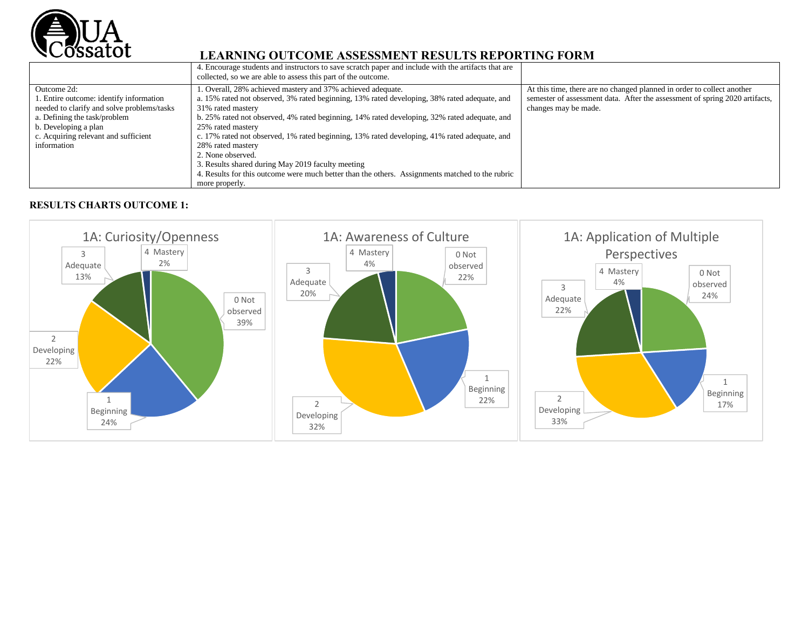

|                                                                                                                                                                                                                     | 4. Encourage students and instructors to save scratch paper and include with the artifacts that are<br>collected, so we are able to assess this part of the outcome.                                                                                                                                                                                                                                                                                                                                                                                                                                                      |                                                                                                                                                                               |
|---------------------------------------------------------------------------------------------------------------------------------------------------------------------------------------------------------------------|---------------------------------------------------------------------------------------------------------------------------------------------------------------------------------------------------------------------------------------------------------------------------------------------------------------------------------------------------------------------------------------------------------------------------------------------------------------------------------------------------------------------------------------------------------------------------------------------------------------------------|-------------------------------------------------------------------------------------------------------------------------------------------------------------------------------|
| Outcome 2d:<br>1. Entire outcome: identify information<br>needed to clarify and solve problems/tasks<br>a. Defining the task/problem<br>b. Developing a plan<br>c. Acquiring relevant and sufficient<br>information | 1. Overall, 28% achieved mastery and 37% achieved adequate.<br>a. 15% rated not observed, 3% rated beginning, 13% rated developing, 38% rated adequate, and<br>31% rated mastery<br>b. 25% rated not observed, 4% rated beginning, 14% rated developing, 32% rated adequate, and<br>25% rated mastery<br>c. 17% rated not observed, 1% rated beginning, 13% rated developing, 41% rated adequate, and<br>28% rated mastery<br>2. None observed.<br>3. Results shared during May 2019 faculty meeting<br>4. Results for this outcome were much better than the others. Assignments matched to the rubric<br>more properly. | At this time, there are no changed planned in order to collect another<br>semester of assessment data. After the assessment of spring 2020 artifacts,<br>changes may be made. |
|                                                                                                                                                                                                                     |                                                                                                                                                                                                                                                                                                                                                                                                                                                                                                                                                                                                                           |                                                                                                                                                                               |

#### **RESULTS CHARTS OUTCOME 1:**

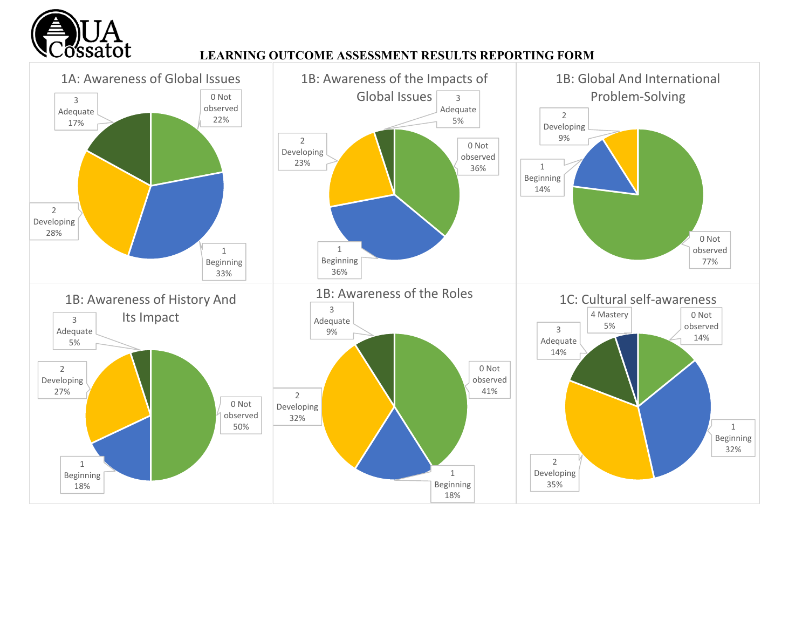

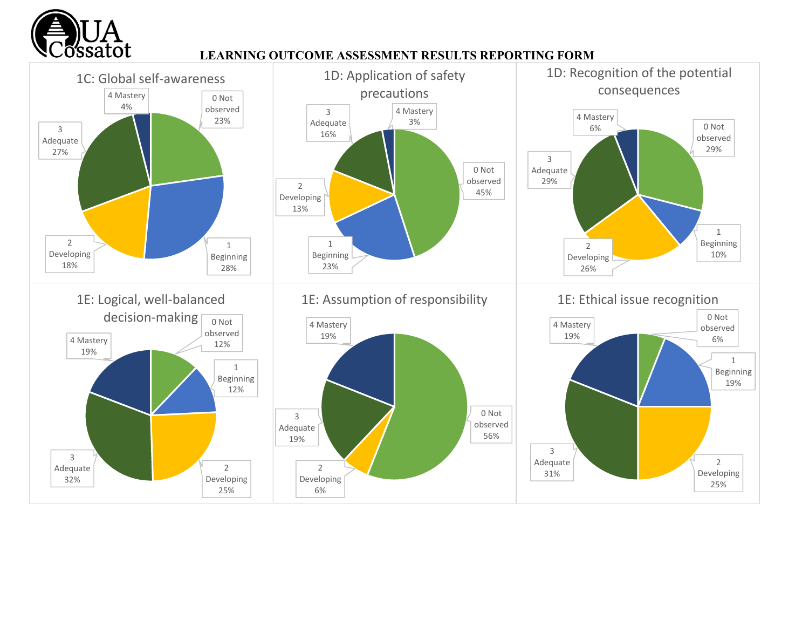

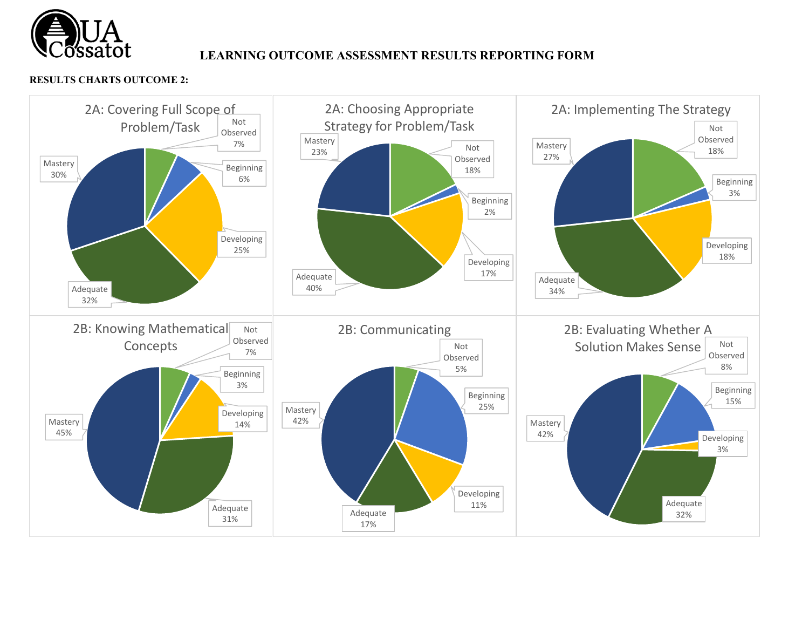

#### **RESULTS CHARTS OUTCOME 2:**